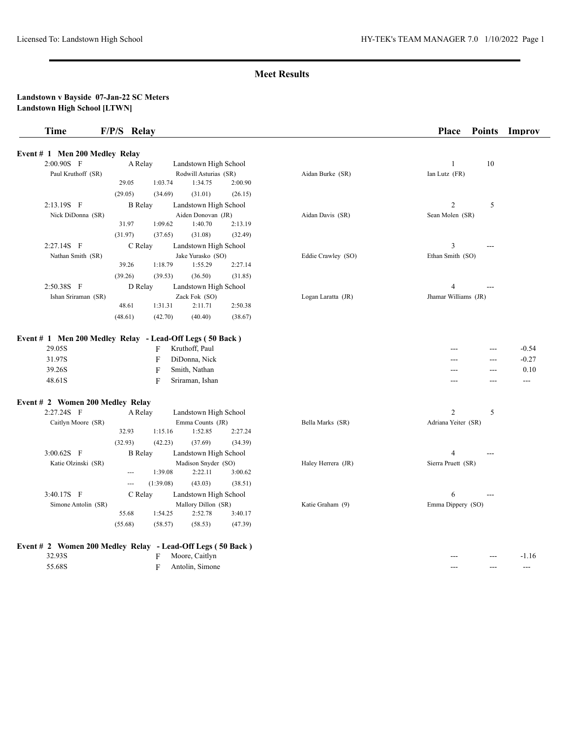| <b>Time</b>                                    | F/P/S Relay                                                          |                    | Place<br><b>Points</b><br>Improv                              |
|------------------------------------------------|----------------------------------------------------------------------|--------------------|---------------------------------------------------------------|
| Event # 1 Men 200 Medley Relay                 |                                                                      |                    |                                                               |
| 2:00.90S F                                     | Landstown High School<br>A Relay                                     |                    | 10<br>1                                                       |
| Paul Kruthoff (SR)                             | Rodwill Asturias (SR)                                                | Aidan Burke (SR)   | Ian Lutz (FR)                                                 |
|                                                | 29.05<br>1:34.75<br>1:03.74<br>2:00.90                               |                    |                                                               |
|                                                | (29.05)<br>(31.01)<br>(34.69)<br>(26.15)                             |                    |                                                               |
| 2:13.19S F                                     | <b>B</b> Relay<br>Landstown High School                              |                    | $\overline{2}$<br>5                                           |
| Nick DiDonna (SR)                              | Aiden Donovan (JR)                                                   | Aidan Davis (SR)   | Sean Molen (SR)                                               |
|                                                | 31.97<br>1:09.62<br>1:40.70<br>2:13.19                               |                    |                                                               |
|                                                | (31.08)<br>(31.97)<br>(37.65)<br>(32.49)                             |                    |                                                               |
| 2:27.14S F                                     | C Relay<br>Landstown High School                                     |                    | 3<br>---                                                      |
| Nathan Smith (SR)                              | Jake Yurasko (SO)                                                    | Eddie Crawley (SO) | Ethan Smith (SO)                                              |
|                                                | 1:18.79<br>39.26<br>1:55.29<br>2:27.14                               |                    |                                                               |
|                                                | (39.26)<br>(39.53)<br>(36.50)<br>(31.85)                             |                    |                                                               |
| 2:50.38S F                                     | D Relay<br>Landstown High School                                     |                    | $\overline{4}$                                                |
| Ishan Sriraman (SR)                            | Zack Fok (SO)                                                        | Logan Laratta (JR) | Jhamar Williams (JR)                                          |
|                                                | 48.61<br>1:31.31<br>2:11.71<br>2:50.38                               |                    |                                                               |
|                                                | (48.61)<br>(42.70)<br>(40.40)<br>(38.67)                             |                    |                                                               |
| 39.26S<br>48.61S                               | $\overline{F}$<br>Smith, Nathan<br>$\overline{F}$<br>Sriraman, Ishan |                    | 0.10<br>---<br>---<br>$\qquad \qquad - -$<br>$-$ - $-$<br>--- |
|                                                |                                                                      |                    |                                                               |
| Event # 2 Women 200 Medley Relay<br>2:27.24S F | A Relay<br>Landstown High School                                     |                    | $\overline{2}$<br>5                                           |
| Caitlyn Moore (SR)                             | Emma Counts (JR)                                                     | Bella Marks (SR)   | Adriana Yeiter (SR)                                           |
|                                                | 32.93<br>1:15.16<br>1:52.85<br>2:27.24                               |                    |                                                               |
|                                                | (32.93)<br>(37.69)<br>(42.23)<br>(34.39)                             |                    |                                                               |
| $3:00.62S$ F                                   | <b>B</b> Relay<br>Landstown High School                              |                    | $\overline{4}$<br>$---$                                       |
| Katie Olzinski (SR)                            | Madison Snyder (SO)                                                  | Haley Herrera (JR) | Sierra Pruett (SR)                                            |
|                                                | 2:22.11<br>1:39.08<br>3:00.62<br>$\overline{a}$                      |                    |                                                               |
|                                                | (1:39.08)<br>(43.03)<br>(38.51)<br>$\overline{a}$                    |                    |                                                               |
| 3:40.17S F                                     | C Relay<br>Landstown High School                                     |                    | 6<br>---                                                      |
| Simone Antolin (SR)                            | Mallory Dillon (SR)                                                  | Katie Graham (9)   | Emma Dippery (SO)                                             |
|                                                | 55.68<br>1:54.25<br>2:52.78<br>3:40.17                               |                    |                                                               |
|                                                | (55.68)<br>(58.57)<br>(58.53)<br>(47.39)                             |                    |                                                               |
|                                                |                                                                      |                    |                                                               |
|                                                | Event # 2 Women 200 Medley Relay - Lead-Off Legs (50 Back)           |                    |                                                               |
| 32.93S                                         | Moore, Caitlyn<br>F                                                  |                    | $-1.16$<br>$\overline{a}$<br>---                              |
| 55.68S                                         | $\mathbf{F}$<br>Antolin, Simone                                      |                    | $- - -$<br>$---$<br>$---$                                     |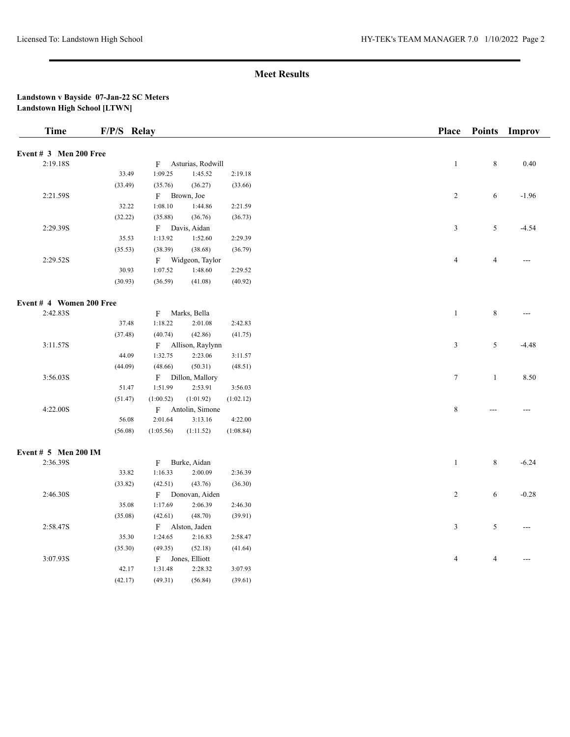| <b>Time</b>                      | F/P/S Relay |              |                   |           | Place          |                          | Points Improv  |
|----------------------------------|-------------|--------------|-------------------|-----------|----------------|--------------------------|----------------|
| Event $# 3$ Men 200 Free         |             |              |                   |           |                |                          |                |
| 2:19.18S                         |             | F            | Asturias, Rodwill |           | $\mathbf{1}$   | $\,$ 8 $\,$              | 0.40           |
|                                  | 33.49       | 1:09.25      | 1:45.52           | 2:19.18   |                |                          |                |
|                                  | (33.49)     | (35.76)      | (36.27)           | (33.66)   |                |                          |                |
| 2:21.59S                         |             |              | F Brown, Joe      |           | $\sqrt{2}$     | 6                        | $-1.96$        |
|                                  | 32.22       | 1:08.10      | 1:44.86           | 2:21.59   |                |                          |                |
|                                  | (32.22)     | (35.88)      | (36.76)           | (36.73)   |                |                          |                |
| 2:29.39S                         |             |              | F Davis, Aidan    |           | $\mathfrak z$  | $\sqrt{5}$               | $-4.54$        |
|                                  | 35.53       | 1:13.92      | 1:52.60           | 2:29.39   |                |                          |                |
|                                  | (35.53)     | (38.39)      | (38.68)           | (36.79)   |                |                          |                |
| 2:29.52S                         |             |              | F Widgeon, Taylor |           | $\overline{4}$ | $\overline{\mathcal{L}}$ | $\overline{a}$ |
|                                  | 30.93       | 1:07.52      | 1:48.60           | 2:29.52   |                |                          |                |
|                                  | (30.93)     | (36.59)      | (41.08)           | (40.92)   |                |                          |                |
|                                  |             |              |                   |           |                |                          |                |
| Event # 4 Women 200 Free         |             |              |                   |           |                |                          |                |
| 2:42.83S                         |             | $\mathbf{F}$ | Marks, Bella      |           | $\mathbf{1}$   | $\,$ 8 $\,$              | ---            |
|                                  | 37.48       | 1:18.22      | 2:01.08           | 2:42.83   |                |                          |                |
|                                  | (37.48)     | (40.74)      | (42.86)           | (41.75)   |                |                          |                |
| 3:11.57S                         |             | F            | Allison, Raylynn  |           | 3              | 5                        | $-4.48$        |
|                                  | 44.09       | 1:32.75      | 2:23.06           | 3:11.57   |                |                          |                |
|                                  | (44.09)     | (48.66)      | (50.31)           | (48.51)   |                |                          |                |
| 3:56.03S                         |             |              | F Dillon, Mallory |           | $\tau$         | $\mathbf{1}$             | 8.50           |
|                                  | 51.47       | 1:51.99      | 2:53.91           | 3:56.03   |                |                          |                |
|                                  | (51.47)     | (1:00.52)    | (1:01.92)         | (1:02.12) |                |                          |                |
| 4:22.00S                         |             | $\mathbf{F}$ | Antolin, Simone   |           | $\,$ 8 $\,$    |                          |                |
|                                  | 56.08       | 2:01.64      | 3:13.16           | 4:22.00   |                |                          |                |
|                                  | (56.08)     | (1:05.56)    | (1:11.52)         | (1:08.84) |                |                          |                |
|                                  |             |              |                   |           |                |                          |                |
| Event # 5 Men 200 IM<br>2:36.39S |             | F            | Burke, Aidan      |           | $\mathbf{1}$   | 8                        | $-6.24$        |
|                                  | 33.82       | 1:16.33      | 2:00.09           | 2:36.39   |                |                          |                |
|                                  | (33.82)     |              | (43.76)           | (36.30)   |                |                          |                |
| 2:46.30S                         |             | (42.51)      | Donovan, Aiden    |           | $\overline{c}$ | 6                        | $-0.28$        |
|                                  | 35.08       | F<br>1:17.69 | 2:06.39           | 2:46.30   |                |                          |                |
|                                  |             |              |                   |           |                |                          |                |
|                                  | (35.08)     | (42.61)      | (48.70)           | (39.91)   |                |                          |                |
| 2:58.47S                         |             | 1:24.65      | F Alston, Jaden   |           | $\mathfrak z$  | 5                        | $\overline{a}$ |
|                                  | 35.30       |              | 2:16.83           | 2:58.47   |                |                          |                |
|                                  | (35.30)     | (49.35)      | (52.18)           | (41.64)   |                |                          |                |
| 3:07.93S                         |             | $_{\rm F}$   | Jones, Elliott    |           | $\overline{4}$ | 4                        | $\overline{a}$ |
|                                  | 42.17       | 1:31.48      | 2:28.32           | 3:07.93   |                |                          |                |
|                                  | (42.17)     | (49.31)      | (56.84)           | (39.61)   |                |                          |                |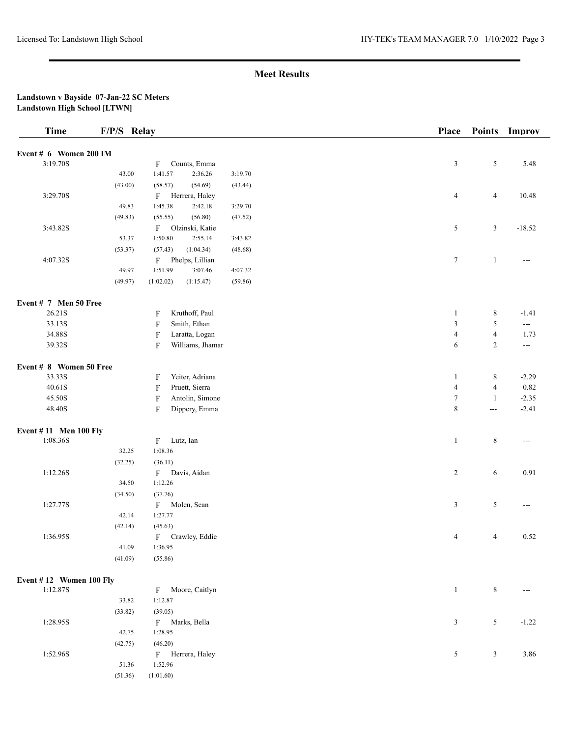| Event # 6 Women 200 IM<br>3:19.70S<br>$\sqrt{5}$<br>Counts, Emma<br>$\mathfrak{Z}$<br>5.48<br>F<br>43.00<br>1:41.57<br>2:36.26<br>3:19.70<br>(43.00)<br>(58.57)<br>(54.69)<br>(43.44)<br>3:29.70S<br>$\overline{4}$<br>Herrera, Haley<br>$\overline{4}$<br>10.48<br>$\mathbf{F}$<br>49.83<br>1:45.38<br>2:42.18<br>3:29.70<br>(55.55)<br>(56.80)<br>(49.83)<br>(47.52)<br>3:43.82S<br>Olzinski, Katie<br>$\sqrt{5}$<br>$\mathfrak{Z}$<br>F<br>$-18.52$<br>1:50.80<br>53.37<br>2:55.14<br>3:43.82<br>(1:04.34)<br>(53.37)<br>(57.43)<br>(48.68)<br>4:07.32S<br>$\tau$<br>F<br>Phelps, Lillian<br>$\mathbf{1}$<br>49.97<br>4:07.32<br>1:51.99<br>3:07.46<br>(49.97)<br>(1:02.02)<br>(1:15.47)<br>(59.86)<br>Event # 7 Men 50 Free<br>26.21S<br>Kruthoff, Paul<br>$\,8\,$<br>$\mathbf{1}$<br>$-1.41$<br>F<br>$\mathfrak z$<br>$\sqrt{5}$<br>33.13S<br>$\mathbf{F}$<br>Smith, Ethan<br>$\hspace{0.05cm} \ldots \hspace{0.05cm}$<br>34.88S<br>$\boldsymbol{\mathrm{F}}$<br>$\overline{4}$<br>Laratta, Logan<br>$\overline{4}$<br>1.73<br>39.32S<br>$\boldsymbol{\mathrm{F}}$<br>Williams, Jhamar<br>$\overline{c}$<br>6<br>$\hspace{0.05cm} \ldots$<br>Event # 8 Women 50 Free<br>33.33S<br>Yeiter, Adriana<br>$\,8\,$<br>$-2.29$<br>1<br>F<br>$\overline{4}$<br>$40.61\mathrm{S}$<br>$\boldsymbol{\mathrm{F}}$<br>Pruett, Sierra<br>$\overline{4}$<br>0.82<br>45.50S<br>$\boldsymbol{\mathrm{F}}$<br>Antolin, Simone<br>$\tau$<br>$-2.35$<br>$\mathbf{1}$<br>$\,$ 8 $\,$<br>48.40S<br>$\boldsymbol{\mathrm{F}}$<br>Dippery, Emma<br>$-2.41$<br>$ -$<br><b>Event #11 Men 100 Fly</b><br>1:08.36S<br>Lutz, Ian<br>$\,8\,$<br>$\mathbf F$<br>$\mathbf{1}$<br>$---$<br>32.25<br>1:08.36<br>(32.25)<br>(36.11)<br>1:12.26S<br>$\overline{c}$<br>6<br>0.91<br>$\mathbf{F}$<br>Davis, Aidan<br>1:12.26<br>34.50<br>(34.50)<br>(37.76)<br>1:27.77S<br>$\mathfrak{Z}$<br>$\sqrt{5}$<br>Molen, Sean<br>F<br>---<br>42.14<br>1:27.77<br>(42.14)<br>(45.63)<br>1:36.95S<br>0.52<br>Crawley, Eddie<br>$\overline{4}$<br>$\overline{4}$<br>F<br>41.09<br>1:36.95<br>(41.09)<br>(55.86)<br>Event #12 Women 100 Fly<br>1:12.87S<br>$\mathbf{1}$<br>$\,8\,$<br>Moore, Caitlyn<br>$_{\rm F}$<br>33.82<br>1:12.87<br>(33.82)<br>(39.05)<br>1:28.95S<br>$\sqrt{5}$<br>F Marks, Bella<br>3<br>$-1.22$<br>42.75<br>1:28.95<br>(42.75)<br>(46.20)<br>1:52.96S<br>$\mathfrak{Z}$<br>3.86<br>F Herrera, Haley<br>5<br>1:52.96<br>51.36<br>(51.36)<br>(1:01.60) | <b>Time</b> | F/P/S Relay |  |  | <b>Place</b> | <b>Points</b> | Improv |
|-----------------------------------------------------------------------------------------------------------------------------------------------------------------------------------------------------------------------------------------------------------------------------------------------------------------------------------------------------------------------------------------------------------------------------------------------------------------------------------------------------------------------------------------------------------------------------------------------------------------------------------------------------------------------------------------------------------------------------------------------------------------------------------------------------------------------------------------------------------------------------------------------------------------------------------------------------------------------------------------------------------------------------------------------------------------------------------------------------------------------------------------------------------------------------------------------------------------------------------------------------------------------------------------------------------------------------------------------------------------------------------------------------------------------------------------------------------------------------------------------------------------------------------------------------------------------------------------------------------------------------------------------------------------------------------------------------------------------------------------------------------------------------------------------------------------------------------------------------------------------------------------------------------------------------------------------------------------------------------------------------------------------------------------------------------------------------------------------------------------------------------------------------------------------------------------------------------------------------------------------------------------------------------------------------------------------------------------------------------------------------------------------------------------------------------|-------------|-------------|--|--|--------------|---------------|--------|
|                                                                                                                                                                                                                                                                                                                                                                                                                                                                                                                                                                                                                                                                                                                                                                                                                                                                                                                                                                                                                                                                                                                                                                                                                                                                                                                                                                                                                                                                                                                                                                                                                                                                                                                                                                                                                                                                                                                                                                                                                                                                                                                                                                                                                                                                                                                                                                                                                                   |             |             |  |  |              |               |        |
|                                                                                                                                                                                                                                                                                                                                                                                                                                                                                                                                                                                                                                                                                                                                                                                                                                                                                                                                                                                                                                                                                                                                                                                                                                                                                                                                                                                                                                                                                                                                                                                                                                                                                                                                                                                                                                                                                                                                                                                                                                                                                                                                                                                                                                                                                                                                                                                                                                   |             |             |  |  |              |               |        |
|                                                                                                                                                                                                                                                                                                                                                                                                                                                                                                                                                                                                                                                                                                                                                                                                                                                                                                                                                                                                                                                                                                                                                                                                                                                                                                                                                                                                                                                                                                                                                                                                                                                                                                                                                                                                                                                                                                                                                                                                                                                                                                                                                                                                                                                                                                                                                                                                                                   |             |             |  |  |              |               |        |
|                                                                                                                                                                                                                                                                                                                                                                                                                                                                                                                                                                                                                                                                                                                                                                                                                                                                                                                                                                                                                                                                                                                                                                                                                                                                                                                                                                                                                                                                                                                                                                                                                                                                                                                                                                                                                                                                                                                                                                                                                                                                                                                                                                                                                                                                                                                                                                                                                                   |             |             |  |  |              |               |        |
|                                                                                                                                                                                                                                                                                                                                                                                                                                                                                                                                                                                                                                                                                                                                                                                                                                                                                                                                                                                                                                                                                                                                                                                                                                                                                                                                                                                                                                                                                                                                                                                                                                                                                                                                                                                                                                                                                                                                                                                                                                                                                                                                                                                                                                                                                                                                                                                                                                   |             |             |  |  |              |               |        |
|                                                                                                                                                                                                                                                                                                                                                                                                                                                                                                                                                                                                                                                                                                                                                                                                                                                                                                                                                                                                                                                                                                                                                                                                                                                                                                                                                                                                                                                                                                                                                                                                                                                                                                                                                                                                                                                                                                                                                                                                                                                                                                                                                                                                                                                                                                                                                                                                                                   |             |             |  |  |              |               |        |
|                                                                                                                                                                                                                                                                                                                                                                                                                                                                                                                                                                                                                                                                                                                                                                                                                                                                                                                                                                                                                                                                                                                                                                                                                                                                                                                                                                                                                                                                                                                                                                                                                                                                                                                                                                                                                                                                                                                                                                                                                                                                                                                                                                                                                                                                                                                                                                                                                                   |             |             |  |  |              |               |        |
|                                                                                                                                                                                                                                                                                                                                                                                                                                                                                                                                                                                                                                                                                                                                                                                                                                                                                                                                                                                                                                                                                                                                                                                                                                                                                                                                                                                                                                                                                                                                                                                                                                                                                                                                                                                                                                                                                                                                                                                                                                                                                                                                                                                                                                                                                                                                                                                                                                   |             |             |  |  |              |               |        |
|                                                                                                                                                                                                                                                                                                                                                                                                                                                                                                                                                                                                                                                                                                                                                                                                                                                                                                                                                                                                                                                                                                                                                                                                                                                                                                                                                                                                                                                                                                                                                                                                                                                                                                                                                                                                                                                                                                                                                                                                                                                                                                                                                                                                                                                                                                                                                                                                                                   |             |             |  |  |              |               |        |
|                                                                                                                                                                                                                                                                                                                                                                                                                                                                                                                                                                                                                                                                                                                                                                                                                                                                                                                                                                                                                                                                                                                                                                                                                                                                                                                                                                                                                                                                                                                                                                                                                                                                                                                                                                                                                                                                                                                                                                                                                                                                                                                                                                                                                                                                                                                                                                                                                                   |             |             |  |  |              |               |        |
|                                                                                                                                                                                                                                                                                                                                                                                                                                                                                                                                                                                                                                                                                                                                                                                                                                                                                                                                                                                                                                                                                                                                                                                                                                                                                                                                                                                                                                                                                                                                                                                                                                                                                                                                                                                                                                                                                                                                                                                                                                                                                                                                                                                                                                                                                                                                                                                                                                   |             |             |  |  |              |               |        |
|                                                                                                                                                                                                                                                                                                                                                                                                                                                                                                                                                                                                                                                                                                                                                                                                                                                                                                                                                                                                                                                                                                                                                                                                                                                                                                                                                                                                                                                                                                                                                                                                                                                                                                                                                                                                                                                                                                                                                                                                                                                                                                                                                                                                                                                                                                                                                                                                                                   |             |             |  |  |              |               |        |
|                                                                                                                                                                                                                                                                                                                                                                                                                                                                                                                                                                                                                                                                                                                                                                                                                                                                                                                                                                                                                                                                                                                                                                                                                                                                                                                                                                                                                                                                                                                                                                                                                                                                                                                                                                                                                                                                                                                                                                                                                                                                                                                                                                                                                                                                                                                                                                                                                                   |             |             |  |  |              |               |        |
|                                                                                                                                                                                                                                                                                                                                                                                                                                                                                                                                                                                                                                                                                                                                                                                                                                                                                                                                                                                                                                                                                                                                                                                                                                                                                                                                                                                                                                                                                                                                                                                                                                                                                                                                                                                                                                                                                                                                                                                                                                                                                                                                                                                                                                                                                                                                                                                                                                   |             |             |  |  |              |               |        |
|                                                                                                                                                                                                                                                                                                                                                                                                                                                                                                                                                                                                                                                                                                                                                                                                                                                                                                                                                                                                                                                                                                                                                                                                                                                                                                                                                                                                                                                                                                                                                                                                                                                                                                                                                                                                                                                                                                                                                                                                                                                                                                                                                                                                                                                                                                                                                                                                                                   |             |             |  |  |              |               |        |
|                                                                                                                                                                                                                                                                                                                                                                                                                                                                                                                                                                                                                                                                                                                                                                                                                                                                                                                                                                                                                                                                                                                                                                                                                                                                                                                                                                                                                                                                                                                                                                                                                                                                                                                                                                                                                                                                                                                                                                                                                                                                                                                                                                                                                                                                                                                                                                                                                                   |             |             |  |  |              |               |        |
|                                                                                                                                                                                                                                                                                                                                                                                                                                                                                                                                                                                                                                                                                                                                                                                                                                                                                                                                                                                                                                                                                                                                                                                                                                                                                                                                                                                                                                                                                                                                                                                                                                                                                                                                                                                                                                                                                                                                                                                                                                                                                                                                                                                                                                                                                                                                                                                                                                   |             |             |  |  |              |               |        |
|                                                                                                                                                                                                                                                                                                                                                                                                                                                                                                                                                                                                                                                                                                                                                                                                                                                                                                                                                                                                                                                                                                                                                                                                                                                                                                                                                                                                                                                                                                                                                                                                                                                                                                                                                                                                                                                                                                                                                                                                                                                                                                                                                                                                                                                                                                                                                                                                                                   |             |             |  |  |              |               |        |
|                                                                                                                                                                                                                                                                                                                                                                                                                                                                                                                                                                                                                                                                                                                                                                                                                                                                                                                                                                                                                                                                                                                                                                                                                                                                                                                                                                                                                                                                                                                                                                                                                                                                                                                                                                                                                                                                                                                                                                                                                                                                                                                                                                                                                                                                                                                                                                                                                                   |             |             |  |  |              |               |        |
|                                                                                                                                                                                                                                                                                                                                                                                                                                                                                                                                                                                                                                                                                                                                                                                                                                                                                                                                                                                                                                                                                                                                                                                                                                                                                                                                                                                                                                                                                                                                                                                                                                                                                                                                                                                                                                                                                                                                                                                                                                                                                                                                                                                                                                                                                                                                                                                                                                   |             |             |  |  |              |               |        |
|                                                                                                                                                                                                                                                                                                                                                                                                                                                                                                                                                                                                                                                                                                                                                                                                                                                                                                                                                                                                                                                                                                                                                                                                                                                                                                                                                                                                                                                                                                                                                                                                                                                                                                                                                                                                                                                                                                                                                                                                                                                                                                                                                                                                                                                                                                                                                                                                                                   |             |             |  |  |              |               |        |
|                                                                                                                                                                                                                                                                                                                                                                                                                                                                                                                                                                                                                                                                                                                                                                                                                                                                                                                                                                                                                                                                                                                                                                                                                                                                                                                                                                                                                                                                                                                                                                                                                                                                                                                                                                                                                                                                                                                                                                                                                                                                                                                                                                                                                                                                                                                                                                                                                                   |             |             |  |  |              |               |        |
|                                                                                                                                                                                                                                                                                                                                                                                                                                                                                                                                                                                                                                                                                                                                                                                                                                                                                                                                                                                                                                                                                                                                                                                                                                                                                                                                                                                                                                                                                                                                                                                                                                                                                                                                                                                                                                                                                                                                                                                                                                                                                                                                                                                                                                                                                                                                                                                                                                   |             |             |  |  |              |               |        |
|                                                                                                                                                                                                                                                                                                                                                                                                                                                                                                                                                                                                                                                                                                                                                                                                                                                                                                                                                                                                                                                                                                                                                                                                                                                                                                                                                                                                                                                                                                                                                                                                                                                                                                                                                                                                                                                                                                                                                                                                                                                                                                                                                                                                                                                                                                                                                                                                                                   |             |             |  |  |              |               |        |
|                                                                                                                                                                                                                                                                                                                                                                                                                                                                                                                                                                                                                                                                                                                                                                                                                                                                                                                                                                                                                                                                                                                                                                                                                                                                                                                                                                                                                                                                                                                                                                                                                                                                                                                                                                                                                                                                                                                                                                                                                                                                                                                                                                                                                                                                                                                                                                                                                                   |             |             |  |  |              |               |        |
|                                                                                                                                                                                                                                                                                                                                                                                                                                                                                                                                                                                                                                                                                                                                                                                                                                                                                                                                                                                                                                                                                                                                                                                                                                                                                                                                                                                                                                                                                                                                                                                                                                                                                                                                                                                                                                                                                                                                                                                                                                                                                                                                                                                                                                                                                                                                                                                                                                   |             |             |  |  |              |               |        |
|                                                                                                                                                                                                                                                                                                                                                                                                                                                                                                                                                                                                                                                                                                                                                                                                                                                                                                                                                                                                                                                                                                                                                                                                                                                                                                                                                                                                                                                                                                                                                                                                                                                                                                                                                                                                                                                                                                                                                                                                                                                                                                                                                                                                                                                                                                                                                                                                                                   |             |             |  |  |              |               |        |
|                                                                                                                                                                                                                                                                                                                                                                                                                                                                                                                                                                                                                                                                                                                                                                                                                                                                                                                                                                                                                                                                                                                                                                                                                                                                                                                                                                                                                                                                                                                                                                                                                                                                                                                                                                                                                                                                                                                                                                                                                                                                                                                                                                                                                                                                                                                                                                                                                                   |             |             |  |  |              |               |        |
|                                                                                                                                                                                                                                                                                                                                                                                                                                                                                                                                                                                                                                                                                                                                                                                                                                                                                                                                                                                                                                                                                                                                                                                                                                                                                                                                                                                                                                                                                                                                                                                                                                                                                                                                                                                                                                                                                                                                                                                                                                                                                                                                                                                                                                                                                                                                                                                                                                   |             |             |  |  |              |               |        |
|                                                                                                                                                                                                                                                                                                                                                                                                                                                                                                                                                                                                                                                                                                                                                                                                                                                                                                                                                                                                                                                                                                                                                                                                                                                                                                                                                                                                                                                                                                                                                                                                                                                                                                                                                                                                                                                                                                                                                                                                                                                                                                                                                                                                                                                                                                                                                                                                                                   |             |             |  |  |              |               |        |
|                                                                                                                                                                                                                                                                                                                                                                                                                                                                                                                                                                                                                                                                                                                                                                                                                                                                                                                                                                                                                                                                                                                                                                                                                                                                                                                                                                                                                                                                                                                                                                                                                                                                                                                                                                                                                                                                                                                                                                                                                                                                                                                                                                                                                                                                                                                                                                                                                                   |             |             |  |  |              |               |        |
|                                                                                                                                                                                                                                                                                                                                                                                                                                                                                                                                                                                                                                                                                                                                                                                                                                                                                                                                                                                                                                                                                                                                                                                                                                                                                                                                                                                                                                                                                                                                                                                                                                                                                                                                                                                                                                                                                                                                                                                                                                                                                                                                                                                                                                                                                                                                                                                                                                   |             |             |  |  |              |               |        |
|                                                                                                                                                                                                                                                                                                                                                                                                                                                                                                                                                                                                                                                                                                                                                                                                                                                                                                                                                                                                                                                                                                                                                                                                                                                                                                                                                                                                                                                                                                                                                                                                                                                                                                                                                                                                                                                                                                                                                                                                                                                                                                                                                                                                                                                                                                                                                                                                                                   |             |             |  |  |              |               |        |
|                                                                                                                                                                                                                                                                                                                                                                                                                                                                                                                                                                                                                                                                                                                                                                                                                                                                                                                                                                                                                                                                                                                                                                                                                                                                                                                                                                                                                                                                                                                                                                                                                                                                                                                                                                                                                                                                                                                                                                                                                                                                                                                                                                                                                                                                                                                                                                                                                                   |             |             |  |  |              |               |        |
|                                                                                                                                                                                                                                                                                                                                                                                                                                                                                                                                                                                                                                                                                                                                                                                                                                                                                                                                                                                                                                                                                                                                                                                                                                                                                                                                                                                                                                                                                                                                                                                                                                                                                                                                                                                                                                                                                                                                                                                                                                                                                                                                                                                                                                                                                                                                                                                                                                   |             |             |  |  |              |               |        |
|                                                                                                                                                                                                                                                                                                                                                                                                                                                                                                                                                                                                                                                                                                                                                                                                                                                                                                                                                                                                                                                                                                                                                                                                                                                                                                                                                                                                                                                                                                                                                                                                                                                                                                                                                                                                                                                                                                                                                                                                                                                                                                                                                                                                                                                                                                                                                                                                                                   |             |             |  |  |              |               |        |
|                                                                                                                                                                                                                                                                                                                                                                                                                                                                                                                                                                                                                                                                                                                                                                                                                                                                                                                                                                                                                                                                                                                                                                                                                                                                                                                                                                                                                                                                                                                                                                                                                                                                                                                                                                                                                                                                                                                                                                                                                                                                                                                                                                                                                                                                                                                                                                                                                                   |             |             |  |  |              |               |        |
|                                                                                                                                                                                                                                                                                                                                                                                                                                                                                                                                                                                                                                                                                                                                                                                                                                                                                                                                                                                                                                                                                                                                                                                                                                                                                                                                                                                                                                                                                                                                                                                                                                                                                                                                                                                                                                                                                                                                                                                                                                                                                                                                                                                                                                                                                                                                                                                                                                   |             |             |  |  |              |               |        |
|                                                                                                                                                                                                                                                                                                                                                                                                                                                                                                                                                                                                                                                                                                                                                                                                                                                                                                                                                                                                                                                                                                                                                                                                                                                                                                                                                                                                                                                                                                                                                                                                                                                                                                                                                                                                                                                                                                                                                                                                                                                                                                                                                                                                                                                                                                                                                                                                                                   |             |             |  |  |              |               |        |
|                                                                                                                                                                                                                                                                                                                                                                                                                                                                                                                                                                                                                                                                                                                                                                                                                                                                                                                                                                                                                                                                                                                                                                                                                                                                                                                                                                                                                                                                                                                                                                                                                                                                                                                                                                                                                                                                                                                                                                                                                                                                                                                                                                                                                                                                                                                                                                                                                                   |             |             |  |  |              |               |        |
|                                                                                                                                                                                                                                                                                                                                                                                                                                                                                                                                                                                                                                                                                                                                                                                                                                                                                                                                                                                                                                                                                                                                                                                                                                                                                                                                                                                                                                                                                                                                                                                                                                                                                                                                                                                                                                                                                                                                                                                                                                                                                                                                                                                                                                                                                                                                                                                                                                   |             |             |  |  |              |               |        |
|                                                                                                                                                                                                                                                                                                                                                                                                                                                                                                                                                                                                                                                                                                                                                                                                                                                                                                                                                                                                                                                                                                                                                                                                                                                                                                                                                                                                                                                                                                                                                                                                                                                                                                                                                                                                                                                                                                                                                                                                                                                                                                                                                                                                                                                                                                                                                                                                                                   |             |             |  |  |              |               |        |
|                                                                                                                                                                                                                                                                                                                                                                                                                                                                                                                                                                                                                                                                                                                                                                                                                                                                                                                                                                                                                                                                                                                                                                                                                                                                                                                                                                                                                                                                                                                                                                                                                                                                                                                                                                                                                                                                                                                                                                                                                                                                                                                                                                                                                                                                                                                                                                                                                                   |             |             |  |  |              |               |        |
|                                                                                                                                                                                                                                                                                                                                                                                                                                                                                                                                                                                                                                                                                                                                                                                                                                                                                                                                                                                                                                                                                                                                                                                                                                                                                                                                                                                                                                                                                                                                                                                                                                                                                                                                                                                                                                                                                                                                                                                                                                                                                                                                                                                                                                                                                                                                                                                                                                   |             |             |  |  |              |               |        |
|                                                                                                                                                                                                                                                                                                                                                                                                                                                                                                                                                                                                                                                                                                                                                                                                                                                                                                                                                                                                                                                                                                                                                                                                                                                                                                                                                                                                                                                                                                                                                                                                                                                                                                                                                                                                                                                                                                                                                                                                                                                                                                                                                                                                                                                                                                                                                                                                                                   |             |             |  |  |              |               |        |
|                                                                                                                                                                                                                                                                                                                                                                                                                                                                                                                                                                                                                                                                                                                                                                                                                                                                                                                                                                                                                                                                                                                                                                                                                                                                                                                                                                                                                                                                                                                                                                                                                                                                                                                                                                                                                                                                                                                                                                                                                                                                                                                                                                                                                                                                                                                                                                                                                                   |             |             |  |  |              |               |        |
|                                                                                                                                                                                                                                                                                                                                                                                                                                                                                                                                                                                                                                                                                                                                                                                                                                                                                                                                                                                                                                                                                                                                                                                                                                                                                                                                                                                                                                                                                                                                                                                                                                                                                                                                                                                                                                                                                                                                                                                                                                                                                                                                                                                                                                                                                                                                                                                                                                   |             |             |  |  |              |               |        |
|                                                                                                                                                                                                                                                                                                                                                                                                                                                                                                                                                                                                                                                                                                                                                                                                                                                                                                                                                                                                                                                                                                                                                                                                                                                                                                                                                                                                                                                                                                                                                                                                                                                                                                                                                                                                                                                                                                                                                                                                                                                                                                                                                                                                                                                                                                                                                                                                                                   |             |             |  |  |              |               |        |
|                                                                                                                                                                                                                                                                                                                                                                                                                                                                                                                                                                                                                                                                                                                                                                                                                                                                                                                                                                                                                                                                                                                                                                                                                                                                                                                                                                                                                                                                                                                                                                                                                                                                                                                                                                                                                                                                                                                                                                                                                                                                                                                                                                                                                                                                                                                                                                                                                                   |             |             |  |  |              |               |        |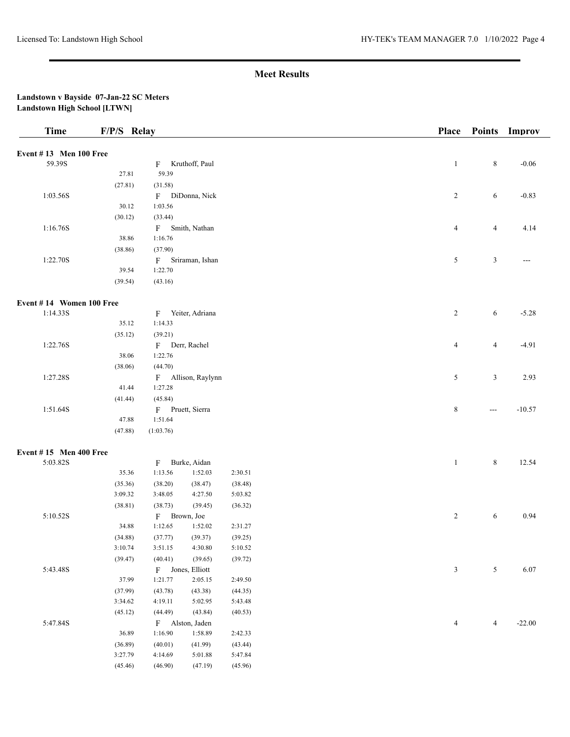#### **Landstown v Bayside 07-Jan-22 SC Meters Landstown High School [LTWN]**

| <b>Time</b>              | F/P/S Relay |              |                    |         |  | <b>Place</b>   |                | Points Improv |
|--------------------------|-------------|--------------|--------------------|---------|--|----------------|----------------|---------------|
| Event #13 Men 100 Free   |             |              |                    |         |  |                |                |               |
| 59.39S                   |             |              | F Kruthoff, Paul   |         |  | $\mathbf{1}$   | $\,8\,$        | $-0.06$       |
|                          | 27.81       | 59.39        |                    |         |  |                |                |               |
|                          | (27.81)     | (31.58)      |                    |         |  |                |                |               |
| 1:03.56S                 |             |              | F DiDonna, Nick    |         |  | $\overline{2}$ | 6              | $-0.83$       |
|                          | 30.12       | 1:03.56      |                    |         |  |                |                |               |
|                          | (30.12)     | (33.44)      |                    |         |  |                |                |               |
| 1:16.76S                 |             |              | F Smith, Nathan    |         |  | $\overline{4}$ | $\overline{4}$ | 4.14          |
|                          | 38.86       | 1:16.76      |                    |         |  |                |                |               |
|                          | (38.86)     | (37.90)      |                    |         |  |                |                |               |
| 1:22.70S                 |             |              | F Sriraman, Ishan  |         |  | 5              | $\mathfrak{Z}$ | $---$         |
|                          | 39.54       | 1:22.70      |                    |         |  |                |                |               |
|                          | (39.54)     | (43.16)      |                    |         |  |                |                |               |
| Event #14 Women 100 Free |             |              |                    |         |  |                |                |               |
| 1:14.33S                 |             | F            | Yeiter, Adriana    |         |  | $\overline{2}$ | 6              | $-5.28$       |
|                          | 35.12       | 1:14.33      |                    |         |  |                |                |               |
|                          | (35.12)     | (39.21)      |                    |         |  |                |                |               |
| 1:22.76S                 |             |              | F Derr, Rachel     |         |  | $\overline{4}$ | $\overline{4}$ | $-4.91$       |
|                          | 38.06       | 1:22.76      |                    |         |  |                |                |               |
|                          | (38.06)     | (44.70)      |                    |         |  |                |                |               |
| 1:27.28S                 |             |              | F Allison, Raylynn |         |  | 5              | $\mathfrak{Z}$ | 2.93          |
|                          | 41.44       | 1:27.28      |                    |         |  |                |                |               |
|                          | (41.44)     | (45.84)      |                    |         |  |                |                |               |
| 1:51.64S                 |             |              | F Pruett, Sierra   |         |  | 8              | $---$          | $-10.57$      |
|                          | 47.88       | 1:51.64      |                    |         |  |                |                |               |
|                          | (47.88)     | (1:03.76)    |                    |         |  |                |                |               |
| Event #15 Men 400 Free   |             |              |                    |         |  |                |                |               |
| 5:03.82S                 |             |              | F Burke, Aidan     |         |  | $\mathbf{1}$   | $\,8\,$        | 12.54         |
|                          | 35.36       | 1:13.56      | 1:52.03            | 2:30.51 |  |                |                |               |
|                          | (35.36)     | (38.20)      | (38.47)            | (38.48) |  |                |                |               |
|                          | 3:09.32     | 3:48.05      | 4:27.50            | 5:03.82 |  |                |                |               |
|                          | (38.81)     | (38.73)      | (39.45)            | (36.32) |  |                |                |               |
| 5:10.52S                 |             | F Brown, Joe |                    |         |  | $\overline{c}$ | 6              | 0.94          |
|                          | 34.88       | 1:12.65      | 1:52.02            | 2:31.27 |  |                |                |               |
|                          | (34.88)     | (37.77)      | (39.37)            | (39.25) |  |                |                |               |
|                          | 3:10.74     | 3:51.15      | 4:30.80            | 5:10.52 |  |                |                |               |
|                          | (39.47)     | (40.41)      | (39.65)            | (39.72) |  |                |                |               |
| 5:43.48S                 |             |              | F Jones, Elliott   |         |  | $\mathfrak{Z}$ | $\sqrt{5}$     | 6.07          |
|                          | 37.99       | 1:21.77      | 2:05.15            | 2:49.50 |  |                |                |               |
|                          | (37.99)     | (43.78)      | (43.38)            | (44.35) |  |                |                |               |
|                          | 3:34.62     | 4:19.11      | 5:02.95            | 5:43.48 |  |                |                |               |
|                          | (45.12)     | (44.49)      | (43.84)            | (40.53) |  |                |                |               |
| 5:47.84S                 |             |              | F Alston, Jaden    |         |  | $\overline{4}$ | $\overline{4}$ | $-22.00$      |
|                          | 36.89       | 1:16.90      | 1:58.89            | 2:42.33 |  |                |                |               |
|                          | (36.89)     | (40.01)      | (41.99)            | (43.44) |  |                |                |               |
|                          | 3:27.79     | 4:14.69      | 5:01.88            | 5:47.84 |  |                |                |               |

(45.46) (46.90) (47.19) (45.96)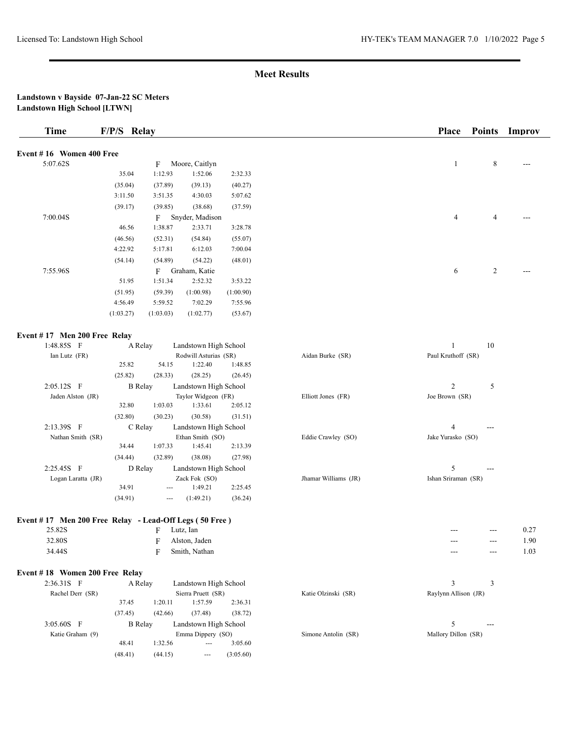| <b>Time</b>                    | F/P/S Relay                                                      | Place<br>Improv<br><b>Points</b>            |
|--------------------------------|------------------------------------------------------------------|---------------------------------------------|
| Event #16 Women 400 Free       |                                                                  |                                             |
| 5:07.62S                       | Moore, Caitlyn<br>F                                              | 8<br>1                                      |
|                                | 1:12.93<br>1:52.06<br>35.04<br>2:32.33                           |                                             |
|                                | (39.13)<br>(35.04)<br>(37.89)<br>(40.27)                         |                                             |
|                                | 5:07.62<br>3:11.50<br>3:51.35<br>4:30.03                         |                                             |
|                                | (39.17)<br>(39.85)<br>(38.68)<br>(37.59)                         |                                             |
| 7:00.04S                       | $F_{-}$<br>Snyder, Madison                                       | $\overline{4}$<br>4                         |
|                                | 1:38.87<br>2:33.71<br>46.56<br>3:28.78                           |                                             |
|                                | (46.56)<br>(52.31)<br>(54.84)<br>(55.07)                         |                                             |
|                                | 4:22.92<br>6:12.03<br>7:00.04<br>5:17.81                         |                                             |
|                                | (54.14)<br>(54.89)<br>(54.22)<br>(48.01)                         |                                             |
| 7:55.96S                       | Graham, Katie<br>F                                               | $\overline{c}$<br>6                         |
|                                | 51.95<br>1:51.34<br>2:52.32<br>3:53.22                           |                                             |
|                                | (51.95)<br>(59.39)<br>(1:00.98)<br>(1:00.90)                     |                                             |
|                                | 4:56.49<br>5:59.52<br>7:02.29<br>7:55.96                         |                                             |
|                                | (1:03.27)<br>(1:03.03)<br>(1:02.77)<br>(53.67)                   |                                             |
| Event #17 Men 200 Free Relay   |                                                                  |                                             |
| 1:48.85S F                     | Landstown High School<br>A Relay                                 | 10<br>1                                     |
| Ian Lutz (FR)                  | Rodwill Asturias (SR)                                            | Paul Kruthoff (SR)<br>Aidan Burke (SR)      |
|                                | 25.82<br>54.15<br>1:22.40<br>1:48.85                             |                                             |
|                                | (25.82)<br>(28.25)<br>(28.33)<br>(26.45)                         |                                             |
| 2:05.12S F                     | <b>B</b> Relay<br>Landstown High School                          | $\overline{2}$<br>5                         |
| Jaden Alston (JR)              | Taylor Widgeon (FR)                                              | Elliott Jones (FR)<br>Joe Brown (SR)        |
|                                | 32.80<br>1:03.03<br>1:33.61<br>2:05.12                           |                                             |
|                                | (32.80)<br>(30.23)<br>(30.58)<br>(31.51)                         |                                             |
| 2:13.39S F                     | C Relay<br>Landstown High School                                 | 4<br>$---$                                  |
| Nathan Smith (SR)              | Ethan Smith (SO)                                                 | Eddie Crawley (SO)<br>Jake Yurasko (SO)     |
|                                | 34.44<br>1:07.33<br>1:45.41<br>2:13.39                           |                                             |
|                                | (32.89)<br>(34.44)<br>(38.08)<br>(27.98)                         |                                             |
| 2:25.45S F                     | D Relay<br>Landstown High School                                 | 5<br>---                                    |
| Logan Laratta (JR)             | Zack Fok (SO)                                                    | Jhamar Williams (JR)<br>Ishan Sriraman (SR) |
|                                | 34.91<br>1:49.21<br>2:25.45                                      |                                             |
|                                | (34.91)<br>(1:49.21)<br>(36.24)<br>---                           |                                             |
|                                | Event #17 Men 200 Free Relay - Lead-Off Legs (50 Free)           |                                             |
| 25.82S                         | F<br>Lutz, Ian                                                   | 0.27<br>$---$<br>$---$                      |
| 32.80S                         | F Alston, Jaden                                                  | $1.90\,$                                    |
| 34.44S                         | Smith, Nathan<br>F                                               | 1.03<br>$---$<br>$\qquad \qquad -$          |
| Event #18 Women 200 Free Relay |                                                                  |                                             |
| 2:36.31S F                     | A Relay<br>Landstown High School                                 | 3<br>3                                      |
| Rachel Derr (SR)               | Sierra Pruett (SR)                                               | Katie Olzinski (SR)<br>Raylynn Allison (JR) |
|                                | 37.45<br>1:20.11<br>1:57.59<br>2:36.31                           |                                             |
|                                | (37.48)<br>(37.45)<br>(42.66)<br>(38.72)                         |                                             |
| 3:05.60S F                     | <b>B</b> Relay<br>Landstown High School                          | 5<br>$---$                                  |
| Katie Graham (9)               | Emma Dippery (SO)                                                | Simone Antolin (SR)<br>Mallory Dillon (SR)  |
|                                | 48.41<br>1:32.56<br>3:05.60<br>---                               |                                             |
|                                | (48.41)<br>(44.15)<br>(3:05.60)<br>$\hspace{1.5cm} \textbf{---}$ |                                             |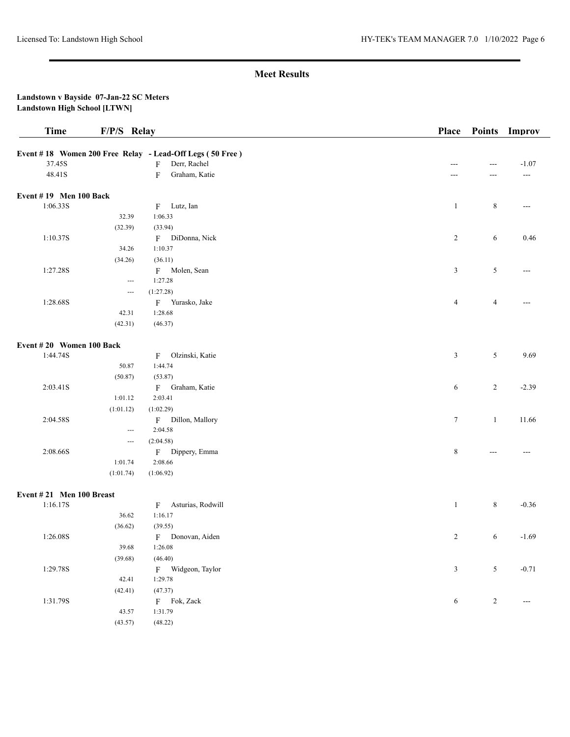| <b>Time</b>                           | F/P/S Relay              |                                                          | Place          | <b>Points</b>  | Improv         |
|---------------------------------------|--------------------------|----------------------------------------------------------|----------------|----------------|----------------|
|                                       |                          | Event #18 Women 200 Free Relay - Lead-Off Legs (50 Free) |                |                |                |
| 37.45S                                |                          | Derr, Rachel<br>F                                        | ---            | ---            | $-1.07$        |
| 48.41S                                |                          | Graham, Katie<br>F                                       | ---            | ---            | $---$          |
|                                       |                          |                                                          |                |                |                |
| Event $# 19$ Men 100 Back<br>1:06.33S |                          | Lutz, Ian                                                | $\mathbf{1}$   | $\,8\,$        | $\overline{a}$ |
|                                       | 32.39                    | F<br>1:06.33                                             |                |                |                |
|                                       |                          | (33.94)                                                  |                |                |                |
| 1:10.37S                              | (32.39)                  |                                                          |                |                | 0.46           |
|                                       | 34.26                    | F DiDonna, Nick<br>1:10.37                               | $\overline{c}$ | 6              |                |
|                                       |                          | (36.11)                                                  |                |                |                |
|                                       | (34.26)                  |                                                          |                |                |                |
| 1:27.28S                              |                          | F Molen, Sean                                            | $\mathfrak{Z}$ | 5              | ---            |
|                                       | $\hspace{0.05cm} \ldots$ | 1:27.28                                                  |                |                |                |
|                                       | $\hspace{0.05cm} \ldots$ | (1:27.28)                                                |                |                |                |
| 1:28.68S                              |                          | F Yurasko, Jake                                          | $\overline{4}$ | $\overline{4}$ | ---            |
|                                       | 42.31                    | 1:28.68                                                  |                |                |                |
|                                       | (42.31)                  | (46.37)                                                  |                |                |                |
| Event #20 Women 100 Back              |                          |                                                          |                |                |                |
| 1:44.74S                              |                          | Olzinski, Katie<br>F                                     | $\mathfrak{Z}$ | 5              | 9.69           |
|                                       | 50.87                    | 1:44.74                                                  |                |                |                |
|                                       | (50.87)                  | (53.87)                                                  |                |                |                |
| 2:03.41S                              |                          | F Graham, Katie                                          | 6              | 2              | $-2.39$        |
|                                       | 1:01.12                  | 2:03.41                                                  |                |                |                |
|                                       | (1:01.12)                | (1:02.29)                                                |                |                |                |
| 2:04.58S                              |                          | F Dillon, Mallory                                        | $\tau$         | $\mathbf{1}$   | 11.66          |
|                                       | $\hspace{0.05cm} \ldots$ | 2:04.58                                                  |                |                |                |
|                                       | $\hspace{0.05cm} \ldots$ | (2:04.58)                                                |                |                |                |
| 2:08.66S                              |                          | F Dippery, Emma                                          | 8              | ---            | $---$          |
|                                       | 1:01.74                  | 2:08.66                                                  |                |                |                |
|                                       | (1:01.74)                | (1:06.92)                                                |                |                |                |
| Event #21 Men 100 Breast              |                          |                                                          |                |                |                |
| 1:16.17S                              |                          | Asturias, Rodwill<br>F                                   | $\mathbf{1}$   | $\,8$          | $-0.36$        |
|                                       | 36.62                    | 1:16.17                                                  |                |                |                |
|                                       | (36.62)                  | (39.55)                                                  |                |                |                |
| 1:26.08S                              |                          | F Donovan, Aiden                                         | 2              | 6              | $-1.69$        |
|                                       | 39.68                    | 1:26.08                                                  |                |                |                |
|                                       |                          |                                                          |                |                |                |
|                                       | (39.68)                  | (46.40)                                                  |                |                |                |
| 1:29.78S                              |                          | F Widgeon, Taylor                                        | $\mathfrak{Z}$ | 5              | $-0.71$        |
|                                       | 42.41                    | 1:29.78                                                  |                |                |                |
|                                       | (42.41)                  | (47.37)                                                  |                |                |                |
| 1:31.79S                              |                          | F Fok, Zack                                              | 6              | $\overline{c}$ | $---$          |
|                                       | 43.57                    | 1:31.79                                                  |                |                |                |
|                                       | (43.57)                  | (48.22)                                                  |                |                |                |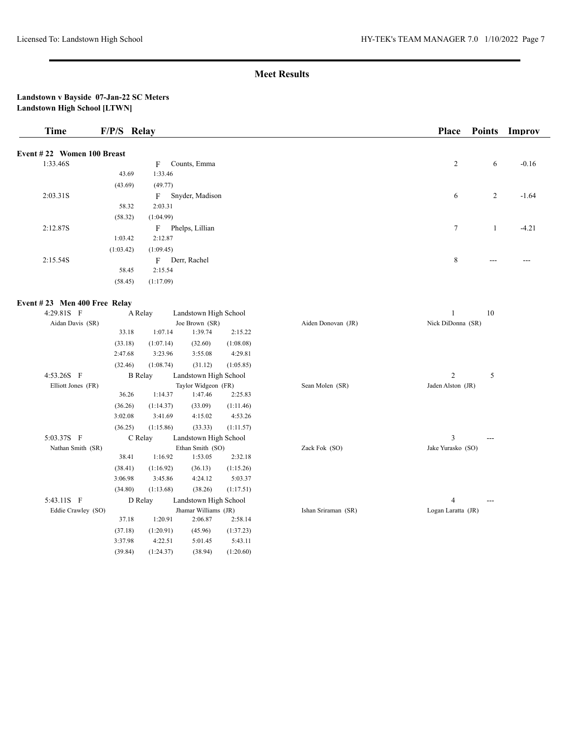| <b>Time</b>                  | F/P/S Relay |                |                                 |           |                     | Place              | <b>Points</b>  | Improv  |
|------------------------------|-------------|----------------|---------------------------------|-----------|---------------------|--------------------|----------------|---------|
| Event #22 Women 100 Breast   |             |                |                                 |           |                     |                    |                |         |
| 1:33.46S                     |             | F              | Counts, Emma                    |           |                     | $\overline{c}$     | 6              | $-0.16$ |
|                              | 43.69       | 1:33.46        |                                 |           |                     |                    |                |         |
|                              | (43.69)     | (49.77)        |                                 |           |                     |                    |                |         |
| 2:03.31S                     |             | F              | Snyder, Madison                 |           |                     | 6                  | $\overline{c}$ | $-1.64$ |
|                              | 58.32       | 2:03.31        |                                 |           |                     |                    |                |         |
|                              | (58.32)     | (1:04.99)      |                                 |           |                     |                    |                |         |
| 2:12.87S                     |             |                | F Phelps, Lillian               |           |                     | 7                  | $\mathbf{1}$   | $-4.21$ |
|                              | 1:03.42     | 2:12.87        |                                 |           |                     |                    |                |         |
|                              | (1:03.42)   | (1:09.45)      |                                 |           |                     |                    |                |         |
| 2:15.54S                     |             |                | F Derr, Rachel                  |           |                     | 8                  |                |         |
|                              | 58.45       | 2:15.54        |                                 |           |                     |                    |                |         |
|                              | (58.45)     | (1:17.09)      |                                 |           |                     |                    |                |         |
| Event #23 Men 400 Free Relay |             |                |                                 |           |                     |                    |                |         |
| 4:29.81S F                   |             | A Relay        | Landstown High School           |           |                     | $\mathbf{1}$       | 10             |         |
| Aidan Davis (SR)             |             |                | Joe Brown (SR)                  |           | Aiden Donovan (JR)  | Nick DiDonna (SR)  |                |         |
|                              | 33.18       | 1:07.14        | 1:39.74                         | 2:15.22   |                     |                    |                |         |
|                              | (33.18)     | (1:07.14)      | (32.60)                         | (1:08.08) |                     |                    |                |         |
|                              | 2:47.68     | 3:23.96        | 3:55.08                         | 4:29.81   |                     |                    |                |         |
|                              | (32.46)     | (1:08.74)      | (31.12)                         | (1:05.85) |                     |                    |                |         |
| 4:53.26S F                   |             | <b>B</b> Relay | Landstown High School           |           |                     | $\overline{c}$     | 5              |         |
| Elliott Jones (FR)           |             |                | Taylor Widgeon (FR)             |           | Sean Molen (SR)     | Jaden Alston (JR)  |                |         |
|                              | 36.26       | 1:14.37        | 1:47.46                         | 2:25.83   |                     |                    |                |         |
|                              | (36.26)     | (1:14.37)      | (33.09)                         | (1:11.46) |                     |                    |                |         |
|                              | 3:02.08     | 3:41.69        | 4:15.02                         | 4:53.26   |                     |                    |                |         |
|                              | (36.25)     | (1:15.86)      | (33.33)                         | (1:11.57) |                     |                    |                |         |
| 5:03.37S F                   |             | C Relay        | Landstown High School           |           |                     | 3                  |                |         |
| Nathan Smith (SR)            |             |                | Ethan Smith (SO)                |           | Zack Fok (SO)       | Jake Yurasko (SO)  |                |         |
|                              | 38.41       | 1:16.92        | 1:53.05                         | 2:32.18   |                     |                    |                |         |
|                              | (38.41)     | (1:16.92)      | (36.13)                         | (1:15.26) |                     |                    |                |         |
|                              | 3:06.98     | 3:45.86        | 4:24.12                         | 5:03.37   |                     |                    |                |         |
|                              | (34.80)     | (1:13.68)      | (38.26)                         | (1:17.51) |                     |                    |                |         |
| 5:43.11S F                   |             | D Relay        | Landstown High School           |           |                     | $\overline{4}$     | $---$          |         |
| Eddie Crawley (SO)           | 37.18       | 1:20.91        | Jhamar Williams (JR)<br>2:06.87 | 2:58.14   | Ishan Sriraman (SR) | Logan Laratta (JR) |                |         |
|                              | (37.18)     | (1:20.91)      | (45.96)                         | (1:37.23) |                     |                    |                |         |
|                              | 3:37.98     | 4:22.51        | 5:01.45                         | 5:43.11   |                     |                    |                |         |
|                              | (39.84)     | (1:24.37)      | (38.94)                         | (1:20.60) |                     |                    |                |         |
|                              |             |                |                                 |           |                     |                    |                |         |